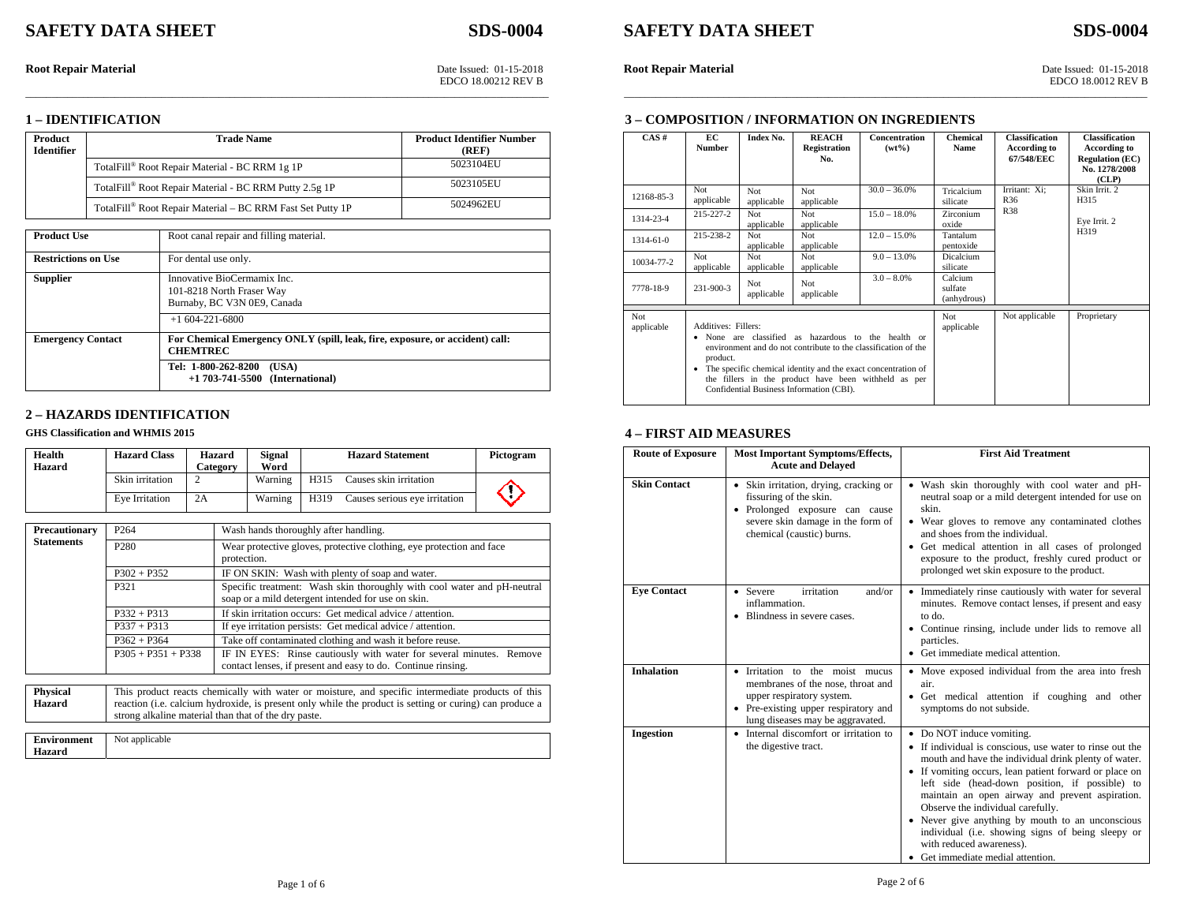# **SAFETY DATA SHEET SDS-0004** SAFETY DATA SHEET

\_\_\_\_\_\_\_\_\_\_\_\_\_\_\_\_\_\_\_\_\_\_\_\_\_\_\_\_\_\_\_\_\_\_\_\_\_\_\_\_\_\_\_\_\_\_\_\_\_\_\_\_\_\_\_\_\_\_\_\_\_\_\_\_\_\_\_\_\_\_\_\_\_\_\_\_\_\_\_\_\_\_\_\_\_\_\_\_\_\_\_\_\_\_\_\_\_\_\_\_ \_\_\_\_\_\_\_\_\_\_\_\_\_\_\_\_\_\_\_\_\_\_\_\_\_\_\_\_\_\_\_\_\_\_\_\_\_\_\_\_\_\_\_\_\_\_\_\_\_\_\_\_\_\_\_\_\_\_\_\_\_\_\_\_\_\_\_\_\_\_\_\_\_\_\_\_\_\_\_\_\_\_\_\_\_\_\_\_\_\_\_\_\_\_\_\_\_\_\_\_

**3 – COMPOSITION / INFORMATION ON INGREDIENTS**

#### **1 – IDENTIFICATION**

| Product<br><b>Identifier</b> | <b>Trade Name</b>                                          | <b>Product Identifier Number</b><br>(REF) |
|------------------------------|------------------------------------------------------------|-------------------------------------------|
|                              | TotalFill® Root Repair Material - BC RRM 1g 1P             | 5023104EU                                 |
|                              | TotalFill® Root Repair Material - BC RRM Putty 2.5g 1P     | 5023105EU                                 |
|                              | TotalFill® Root Repair Material – BC RRM Fast Set Putty 1P | 5024962EU                                 |

| <b>Product Use</b>         | Root canal repair and filling material.                                                         |
|----------------------------|-------------------------------------------------------------------------------------------------|
| <b>Restrictions on Use</b> | For dental use only.                                                                            |
| <b>Supplier</b>            | Innovative BioCermamix Inc.<br>101-8218 North Fraser Way<br>Burnaby, BC V3N 0E9, Canada         |
|                            | $+1604-221-6800$                                                                                |
| <b>Emergency Contact</b>   | For Chemical Emergency ONLY (spill, leak, fire, exposure, or accident) call:<br><b>CHEMTREC</b> |
|                            | Tel: 1-800-262-8200<br>(USA)<br>$+1703-741-5500$ (International)                                |

# **2 – HAZARDS IDENTIFICATION**

#### **GHS Classification and WHMIS 2015**

| Health        | <b>Hazard Class</b> | Hazard   | <b>Signal</b> |      | <b>Hazard Statement</b>       | Pictogram |
|---------------|---------------------|----------|---------------|------|-------------------------------|-----------|
| <b>Hazard</b> |                     | Category | Word          |      |                               |           |
|               | Skin irritation     |          | Warning       | H315 | Causes skin irritation        |           |
|               | Eve Irritation      | 2A       | Warning       | H319 | Causes serious eye irritation |           |

| Precautionary     | P <sub>264</sub>     | Wash hands thoroughly after handling.                                                                                               |
|-------------------|----------------------|-------------------------------------------------------------------------------------------------------------------------------------|
| <b>Statements</b> | P <sub>280</sub>     | Wear protective gloves, protective clothing, eye protection and face<br>protection.                                                 |
|                   | $P302 + P352$        | IF ON SKIN: Wash with plenty of soap and water.                                                                                     |
|                   | P321                 | Specific treatment: Wash skin thoroughly with cool water and pH-neutral<br>soap or a mild detergent intended for use on skin.       |
|                   | $P332 + P313$        | If skin irritation occurs: Get medical advice / attention.                                                                          |
|                   | $P337 + P313$        | If eye irritation persists: Get medical advice / attention.                                                                         |
|                   | $P362 + P364$        | Take off contaminated clothing and wash it before reuse.                                                                            |
|                   | $P305 + P351 + P338$ | IF IN EYES: Rinse cautiously with water for several minutes. Remove<br>contact lenses, if present and easy to do. Continue rinsing. |

| <b>Physical</b> | This product reacts chemically with water or moisture, and specific intermediate products of this       |
|-----------------|---------------------------------------------------------------------------------------------------------|
| Hazard          | reaction (i.e. calcium hydroxide, is present only while the product is setting or curing) can produce a |
|                 | strong alkaline material than that of the dry paste.                                                    |
|                 |                                                                                                         |

| ronment<br>----<br>. | Not applicable<br>. . |
|----------------------|-----------------------|
| <b>CONTRACTOR</b>    |                       |

**Root Repair Material** Date Issued: 01-15-2018 **Root Repair Material Date Issued: 01-15-2018** Date Issued: 01-15-2018 **Root Repair Material** Date Issued: 01-15-2018 **Date Issued: 01-15-2018 Root Repair Material** EDCO 18.00212 REV B EDCO 18.0012 REV B

| CAS#              | EC.<br><b>Number</b>                                                                                                                                                                                                                                                                                                               | Index No.                | <b>REACH</b><br><b>Registration</b><br>No. | <b>Concentration</b><br>$(wt\%)$ | <b>Chemical</b><br><b>Name</b>    | <b>Classification</b><br>According to<br>67/548/EEC | <b>Classification</b><br>According to<br><b>Regulation (EC)</b><br>No. 1278/2008<br>(CLP) |
|-------------------|------------------------------------------------------------------------------------------------------------------------------------------------------------------------------------------------------------------------------------------------------------------------------------------------------------------------------------|--------------------------|--------------------------------------------|----------------------------------|-----------------------------------|-----------------------------------------------------|-------------------------------------------------------------------------------------------|
| 12168-85-3        | Not<br>applicable                                                                                                                                                                                                                                                                                                                  | Not<br>applicable        | Not<br>applicable                          | $30.0 - 36.0\%$                  | Tricalcium<br>silicate            | Irritant: Xi;<br>R36                                | Skin Irrit. 2<br>H315                                                                     |
| 1314-23-4         | $215 - 227 - 2$                                                                                                                                                                                                                                                                                                                    | <b>Not</b><br>applicable | Not<br>applicable                          | $15.0 - 18.0\%$                  | Zirconium<br>oxide                | <b>R38</b>                                          | Eye Irrit. 2<br>H319                                                                      |
| 1314-61-0         | 215-238-2                                                                                                                                                                                                                                                                                                                          | Not.<br>applicable       | Not<br>applicable                          | $12.0 - 15.0\%$                  | Tantalum<br>pentoxide             |                                                     |                                                                                           |
| 10034-77-2        | Not<br>applicable                                                                                                                                                                                                                                                                                                                  | Not<br>applicable        | Not<br>applicable                          | $9.0 - 13.0\%$                   | Dicalcium<br>silicate             |                                                     |                                                                                           |
| 7778-18-9         | 231-900-3                                                                                                                                                                                                                                                                                                                          | <b>Not</b><br>applicable | Not<br>applicable                          | $3.0 - 8.0\%$                    | Calcium<br>sulfate<br>(anhydrous) |                                                     |                                                                                           |
| Not<br>applicable | Additives: Fillers:<br>None are classified as hazardous to the health or<br>٠<br>environment and do not contribute to the classification of the<br>product.<br>• The specific chemical identity and the exact concentration of<br>the fillers in the product have been withheld as per<br>Confidential Business Information (CBI). |                          |                                            | Not<br>applicable                | Not applicable                    | Proprietary                                         |                                                                                           |

# **4 – FIRST AID MEASURES**

| <b>Route of Exposure</b> | <b>Most Important Symptoms/Effects,</b><br><b>Acute and Delayed</b>                                                                                                           | <b>First Aid Treatment</b>                                                                                                                                                                                                                                                                                                                                                                                                                                                                                                  |
|--------------------------|-------------------------------------------------------------------------------------------------------------------------------------------------------------------------------|-----------------------------------------------------------------------------------------------------------------------------------------------------------------------------------------------------------------------------------------------------------------------------------------------------------------------------------------------------------------------------------------------------------------------------------------------------------------------------------------------------------------------------|
| <b>Skin Contact</b>      | • Skin irritation, drying, cracking or<br>fissuring of the skin.<br>• Prolonged exposure can cause<br>severe skin damage in the form of<br>chemical (caustic) burns.          | • Wash skin thoroughly with cool water and pH-<br>neutral soap or a mild detergent intended for use on<br>skin.<br>• Wear gloves to remove any contaminated clothes<br>and shoes from the individual.<br>• Get medical attention in all cases of prolonged<br>exposure to the product, freshly cured product or<br>prolonged wet skin exposure to the product.                                                                                                                                                              |
| <b>Eve Contact</b>       | irritation<br>and/or<br>• Severe<br>inflammation<br>• Blindness in severe cases.                                                                                              | Immediately rinse cautiously with water for several<br>minutes. Remove contact lenses, if present and easy<br>to do.<br>• Continue rinsing, include under lids to remove all<br>particles.<br>• Get immediate medical attention.                                                                                                                                                                                                                                                                                            |
| <b>Inhalation</b>        | • Irritation to the moist mucus<br>membranes of the nose, throat and<br>upper respiratory system.<br>• Pre-existing upper respiratory and<br>lung diseases may be aggravated. | • Move exposed individual from the area into fresh<br>air.<br>• Get medical attention if coughing and other<br>symptoms do not subside.                                                                                                                                                                                                                                                                                                                                                                                     |
| Ingestion                | • Internal discomfort or irritation to<br>the digestive tract.                                                                                                                | • Do NOT induce vomiting.<br>• If individual is conscious, use water to rinse out the<br>mouth and have the individual drink plenty of water.<br>• If vomiting occurs, lean patient forward or place on<br>left side (head-down position, if possible) to<br>maintain an open airway and prevent aspiration.<br>Observe the individual carefully.<br>• Never give anything by mouth to an unconscious<br>individual (i.e. showing signs of being sleepy or<br>with reduced awareness).<br>• Get immediate medial attention. |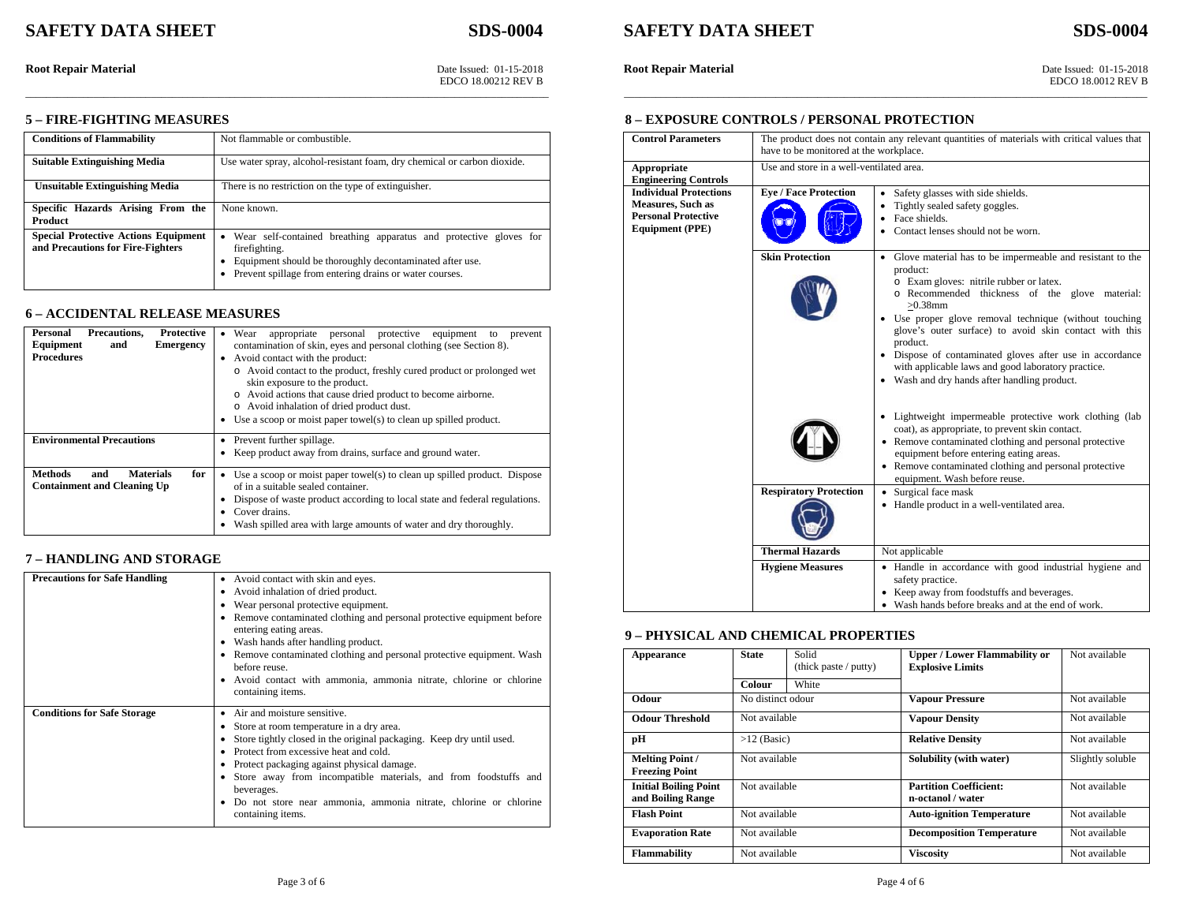\_\_\_\_\_\_\_\_\_\_\_\_\_\_\_\_\_\_\_\_\_\_\_\_\_\_\_\_\_\_\_\_\_\_\_\_\_\_\_\_\_\_\_\_\_\_\_\_\_\_\_\_\_\_\_\_\_\_\_\_\_\_\_\_\_\_\_\_\_\_\_\_\_\_\_\_\_\_\_\_\_\_\_\_\_\_\_\_\_\_\_\_\_\_\_\_\_\_\_\_ \_\_\_\_\_\_\_\_\_\_\_\_\_\_\_\_\_\_\_\_\_\_\_\_\_\_\_\_\_\_\_\_\_\_\_\_\_\_\_\_\_\_\_\_\_\_\_\_\_\_\_\_\_\_\_\_\_\_\_\_\_\_\_\_\_\_\_\_\_\_\_\_\_\_\_\_\_\_\_\_\_\_\_\_\_\_\_\_\_\_\_\_\_\_\_\_\_\_\_\_

# **SDS-0004**

**Root Repair Material** Date Issued: 01-15-2018<br> **Root Repair Material** Date Issued: 01-15-2018<br> **Root Repair Material** Date Issued: 01-15-2018<br> **Root Repair Material** Date Issued: 01-15-2018<br> **Root Repair Material** 

EDCO 18.00212 REV B EDCO 18.0012 REV B

#### **8 – EXPOSURE CONTROLS / PERSONAL PROTECTION**

| <b>Control Parameters</b>                                                                                  | The product does not contain any relevant quantities of materials with critical values that<br>have to be monitored at the workplace. |                                                                                                                                                                                                                                                                                                                                                                                                                                                                                  |  |  |
|------------------------------------------------------------------------------------------------------------|---------------------------------------------------------------------------------------------------------------------------------------|----------------------------------------------------------------------------------------------------------------------------------------------------------------------------------------------------------------------------------------------------------------------------------------------------------------------------------------------------------------------------------------------------------------------------------------------------------------------------------|--|--|
| <b>Appropriate</b><br><b>Engineering Controls</b>                                                          | Use and store in a well-ventilated area.                                                                                              |                                                                                                                                                                                                                                                                                                                                                                                                                                                                                  |  |  |
| <b>Individual Protections</b><br>Measures, Such as<br><b>Personal Protective</b><br><b>Equipment (PPE)</b> | <b>Eye / Face Protection</b>                                                                                                          | • Safety glasses with side shields.<br>Tightly sealed safety goggles.<br>$\bullet$<br>Face shields.<br>$\bullet$<br>Contact lenses should not be worn.<br>٠                                                                                                                                                                                                                                                                                                                      |  |  |
|                                                                                                            | <b>Skin Protection</b>                                                                                                                | • Glove material has to be impermeable and resistant to the<br>product:<br>o Exam gloves: nitrile rubber or latex.<br>o Recommended thickness of the glove material:<br>$>0.38$ mm<br>Use proper glove removal technique (without touching<br>glove's outer surface) to avoid skin contact with this<br>product.<br>Dispose of contaminated gloves after use in accordance<br>with applicable laws and good laboratory practice.<br>• Wash and dry hands after handling product. |  |  |
|                                                                                                            |                                                                                                                                       | • Lightweight impermeable protective work clothing (lab<br>coat), as appropriate, to prevent skin contact.<br>• Remove contaminated clothing and personal protective<br>equipment before entering eating areas.<br>• Remove contaminated clothing and personal protective<br>equipment. Wash before reuse.                                                                                                                                                                       |  |  |
|                                                                                                            | <b>Respiratory Protection</b>                                                                                                         | Surgical face mask<br>٠<br>• Handle product in a well-ventilated area.                                                                                                                                                                                                                                                                                                                                                                                                           |  |  |
|                                                                                                            | <b>Thermal Hazards</b>                                                                                                                | Not applicable                                                                                                                                                                                                                                                                                                                                                                                                                                                                   |  |  |
|                                                                                                            | <b>Hygiene Measures</b>                                                                                                               | • Handle in accordance with good industrial hygiene and<br>safety practice.<br>• Keep away from foodstuffs and beverages.<br>• Wash hands before breaks and at the end of work.                                                                                                                                                                                                                                                                                                  |  |  |

#### **9 – PHYSICAL AND CHEMICAL PROPERTIES**

| Appearance                                        | <b>State</b>      | Solid<br>(thick paste / putty) | <b>Upper / Lower Flammability or</b><br><b>Explosive Limits</b> | Not available    |
|---------------------------------------------------|-------------------|--------------------------------|-----------------------------------------------------------------|------------------|
|                                                   | <b>Colour</b>     | White                          |                                                                 |                  |
| Odour                                             | No distinct odour |                                | <b>Vapour Pressure</b>                                          | Not available    |
| <b>Odour Threshold</b>                            | Not available     |                                | <b>Vapour Density</b>                                           | Not available    |
| рH                                                | $>12$ (Basic)     |                                | <b>Relative Density</b>                                         | Not available    |
| <b>Melting Point /</b><br><b>Freezing Point</b>   | Not available     |                                | Solubility (with water)                                         | Slightly soluble |
| <b>Initial Boiling Point</b><br>and Boiling Range | Not available     |                                | <b>Partition Coefficient:</b><br>n-octanol / water              | Not available    |
| <b>Flash Point</b>                                | Not available     |                                | <b>Auto-ignition Temperature</b>                                | Not available    |
| <b>Evaporation Rate</b>                           | Not available     |                                | <b>Decomposition Temperature</b>                                | Not available    |
| <b>Flammability</b>                               | Not available     |                                | <b>Viscosity</b>                                                | Not available    |

#### **5 – FIRE-FIGHTING MEASURES**

| <b>Conditions of Flammability</b>           | Not flammable or combustible.                                            |
|---------------------------------------------|--------------------------------------------------------------------------|
|                                             |                                                                          |
| <b>Suitable Extinguishing Media</b>         | Use water spray, alcohol-resistant foam, dry chemical or carbon dioxide. |
|                                             |                                                                          |
| <b>Unsuitable Extinguishing Media</b>       | There is no restriction on the type of extinguisher.                     |
|                                             |                                                                          |
| Specific Hazards Arising From the           | None known.                                                              |
| <b>Product</b>                              |                                                                          |
| <b>Special Protective Actions Equipment</b> | Wear self-contained breathing apparatus and protective gloves for<br>٠   |
| and Precautions for Fire-Fighters           | firefighting.                                                            |
|                                             | Equipment should be thoroughly decontaminated after use.                 |
|                                             | Prevent spillage from entering drains or water courses.                  |
|                                             |                                                                          |

## **6 – ACCIDENTAL RELEASE MEASURES**

| <b>Protective</b><br><b>Precautions.</b><br>Personal<br>Equipment<br><b>Emergency</b><br>and<br><b>Procedures</b> | appropriate personal protective equipment<br>Wear<br>prevent<br>to<br>contamination of skin, eyes and personal clothing (see Section 8).<br>• Avoid contact with the product:<br>o Avoid contact to the product, freshly cured product or prolonged wet<br>skin exposure to the product.<br>o Avoid actions that cause dried product to become airborne.<br>o Avoid inhalation of dried product dust.<br>• Use a scoop or moist paper towel(s) to clean up spilled product. |
|-------------------------------------------------------------------------------------------------------------------|-----------------------------------------------------------------------------------------------------------------------------------------------------------------------------------------------------------------------------------------------------------------------------------------------------------------------------------------------------------------------------------------------------------------------------------------------------------------------------|
| <b>Environmental Precautions</b>                                                                                  | • Prevent further spillage.<br>• Keep product away from drains, surface and ground water.                                                                                                                                                                                                                                                                                                                                                                                   |
| <b>Methods</b><br><b>Materials</b><br>for<br>and<br><b>Containment and Cleaning Up</b>                            | • Use a scoop or moist paper towel(s) to clean up spilled product. Dispose<br>of in a suitable sealed container.<br>Dispose of waste product according to local state and federal regulations.<br>Cover drains.<br>Wash spilled area with large amounts of water and dry thoroughly.                                                                                                                                                                                        |

## **7 – HANDLING AND STORAGE**

| <b>Precautions for Safe Handling</b> | Avoid contact with skin and eyes.<br>Avoid inhalation of dried product.<br>Wear personal protective equipment.<br>Remove contaminated clothing and personal protective equipment before<br>entering eating areas.<br>• Wash hands after handling product.<br>• Remove contaminated clothing and personal protective equipment. Wash<br>before reuse.<br>• Avoid contact with ammonia, ammonia nitrate, chlorine or chlorine<br>containing items. |
|--------------------------------------|--------------------------------------------------------------------------------------------------------------------------------------------------------------------------------------------------------------------------------------------------------------------------------------------------------------------------------------------------------------------------------------------------------------------------------------------------|
| <b>Conditions for Safe Storage</b>   | Air and moisture sensitive.<br>Store at room temperature in a dry area.<br>Store tightly closed in the original packaging. Keep dry until used.<br>• Protect from excessive heat and cold.<br>Protect packaging against physical damage.<br>Store away from incompatible materials, and from foodstuffs and<br>beverages.<br>Do not store near ammonia, ammonia nitrate, chlorine or chlorine<br>containing items.                               |